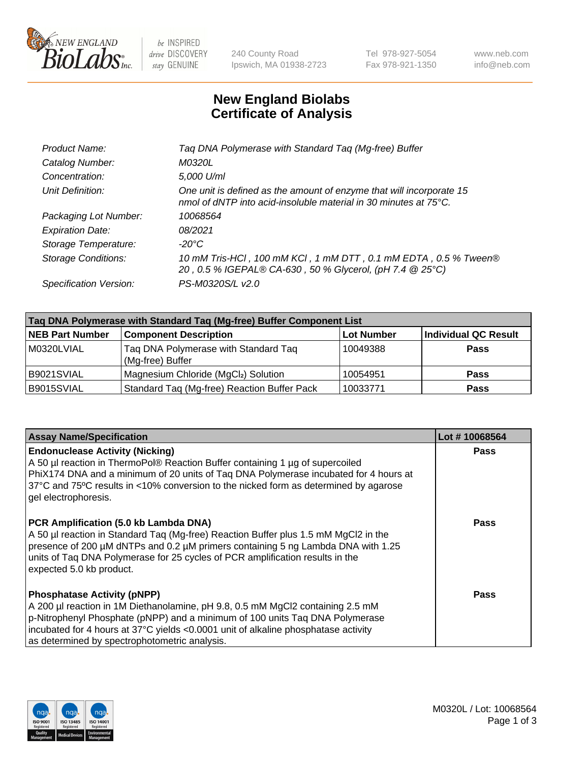

 $be$  INSPIRED drive DISCOVERY stay GENUINE

240 County Road Ipswich, MA 01938-2723 Tel 978-927-5054 Fax 978-921-1350 www.neb.com info@neb.com

## **New England Biolabs Certificate of Analysis**

| Taq DNA Polymerase with Standard Taq (Mg-free) Buffer                                                                                    |
|------------------------------------------------------------------------------------------------------------------------------------------|
| M0320L                                                                                                                                   |
| 5,000 U/ml                                                                                                                               |
| One unit is defined as the amount of enzyme that will incorporate 15<br>nmol of dNTP into acid-insoluble material in 30 minutes at 75°C. |
| 10068564                                                                                                                                 |
| 08/2021                                                                                                                                  |
| $-20^{\circ}$ C                                                                                                                          |
| 10 mM Tris-HCl, 100 mM KCl, 1 mM DTT, 0.1 mM EDTA, 0.5 % Tween®<br>20, 0.5 % IGEPAL® CA-630, 50 % Glycerol, (pH 7.4 @ 25°C)              |
| PS-M0320S/L v2.0                                                                                                                         |
|                                                                                                                                          |

| Taq DNA Polymerase with Standard Taq (Mg-free) Buffer Component List |                                                          |                   |                             |  |
|----------------------------------------------------------------------|----------------------------------------------------------|-------------------|-----------------------------|--|
| <b>NEB Part Number</b>                                               | <b>Component Description</b>                             | <b>Lot Number</b> | <b>Individual QC Result</b> |  |
| M0320LVIAL                                                           | Tag DNA Polymerase with Standard Tag<br>(Mg-free) Buffer | 10049388          | <b>Pass</b>                 |  |
| B9021SVIAL                                                           | Magnesium Chloride (MgCl2) Solution                      | 10054951          | <b>Pass</b>                 |  |
| B9015SVIAL                                                           | Standard Taq (Mg-free) Reaction Buffer Pack              | 10033771          | <b>Pass</b>                 |  |

| <b>Assay Name/Specification</b>                                                                                                                                                                                                                                                                                                             | Lot #10068564 |
|---------------------------------------------------------------------------------------------------------------------------------------------------------------------------------------------------------------------------------------------------------------------------------------------------------------------------------------------|---------------|
| <b>Endonuclease Activity (Nicking)</b><br>A 50 µl reaction in ThermoPol® Reaction Buffer containing 1 µg of supercoiled<br>PhiX174 DNA and a minimum of 20 units of Taq DNA Polymerase incubated for 4 hours at<br>37°C and 75°C results in <10% conversion to the nicked form as determined by agarose<br>gel electrophoresis.             | <b>Pass</b>   |
| PCR Amplification (5.0 kb Lambda DNA)<br>A 50 µl reaction in Standard Taq (Mg-free) Reaction Buffer plus 1.5 mM MgCl2 in the<br>presence of 200 µM dNTPs and 0.2 µM primers containing 5 ng Lambda DNA with 1.25<br>units of Taq DNA Polymerase for 25 cycles of PCR amplification results in the<br>expected 5.0 kb product.               | Pass          |
| <b>Phosphatase Activity (pNPP)</b><br>A 200 µl reaction in 1M Diethanolamine, pH 9.8, 0.5 mM MgCl2 containing 2.5 mM<br>p-Nitrophenyl Phosphate (pNPP) and a minimum of 100 units Taq DNA Polymerase<br>incubated for 4 hours at 37°C yields <0.0001 unit of alkaline phosphatase activity<br>as determined by spectrophotometric analysis. | Pass          |

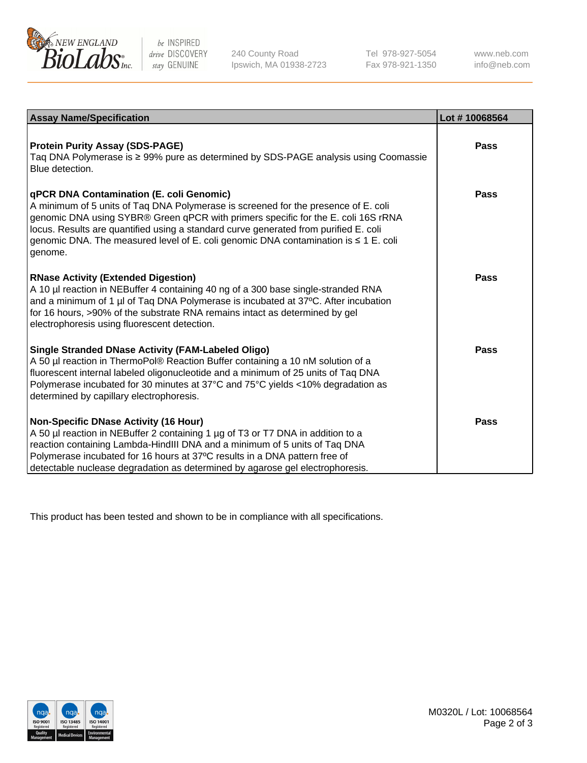

 $be$  INSPIRED drive DISCOVERY stay GENUINE

240 County Road Ipswich, MA 01938-2723 Tel 978-927-5054 Fax 978-921-1350 www.neb.com info@neb.com

| <b>Assay Name/Specification</b>                                                                                                                                                                                                                                                                                                                                                                                    | Lot #10068564 |
|--------------------------------------------------------------------------------------------------------------------------------------------------------------------------------------------------------------------------------------------------------------------------------------------------------------------------------------------------------------------------------------------------------------------|---------------|
| <b>Protein Purity Assay (SDS-PAGE)</b><br>Taq DNA Polymerase is ≥ 99% pure as determined by SDS-PAGE analysis using Coomassie<br>Blue detection.                                                                                                                                                                                                                                                                   | <b>Pass</b>   |
| qPCR DNA Contamination (E. coli Genomic)<br>A minimum of 5 units of Taq DNA Polymerase is screened for the presence of E. coli<br>genomic DNA using SYBR® Green qPCR with primers specific for the E. coli 16S rRNA<br>locus. Results are quantified using a standard curve generated from purified E. coli<br>genomic DNA. The measured level of E. coli genomic DNA contamination is $\leq 1$ E. coli<br>genome. | Pass          |
| <b>RNase Activity (Extended Digestion)</b><br>A 10 µl reaction in NEBuffer 4 containing 40 ng of a 300 base single-stranded RNA<br>and a minimum of 1 µl of Taq DNA Polymerase is incubated at 37°C. After incubation<br>for 16 hours, >90% of the substrate RNA remains intact as determined by gel<br>electrophoresis using fluorescent detection.                                                               | Pass          |
| <b>Single Stranded DNase Activity (FAM-Labeled Oligo)</b><br>A 50 µl reaction in ThermoPol® Reaction Buffer containing a 10 nM solution of a<br>fluorescent internal labeled oligonucleotide and a minimum of 25 units of Taq DNA<br>Polymerase incubated for 30 minutes at 37°C and 75°C yields <10% degradation as<br>determined by capillary electrophoresis.                                                   | Pass          |
| <b>Non-Specific DNase Activity (16 Hour)</b><br>A 50 µl reaction in NEBuffer 2 containing 1 µg of T3 or T7 DNA in addition to a<br>reaction containing Lambda-HindIII DNA and a minimum of 5 units of Taq DNA<br>Polymerase incubated for 16 hours at 37°C results in a DNA pattern free of<br>detectable nuclease degradation as determined by agarose gel electrophoresis.                                       | <b>Pass</b>   |

This product has been tested and shown to be in compliance with all specifications.